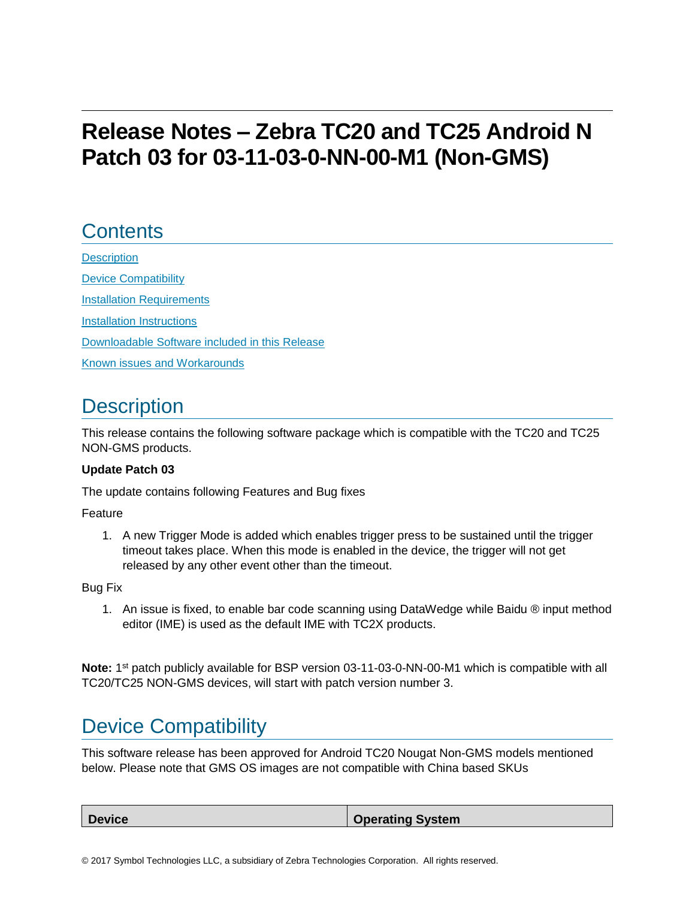# **Release Notes – Zebra TC20 and TC25 Android N Patch 03 for 03-11-03-0-NN-00-M1 (Non-GMS)**

## **Contents**

**[Description](#page-0-0)** [Device Compatibility](#page-0-1) **[Installation Requirements](#page-1-0)** [Installation Instructions](#page-1-1) [Downloadable Software included in this Release](#page-3-0) Known [issues](#page-3-1) [and](#page-3-1) Workarounds

## <span id="page-0-0"></span>**Description**

<span id="page-0-1"></span>This release contains the following software package which is compatible with the TC20 and TC25 NON-GMS products.

#### **Update Patch 03**

The update contains following Features and Bug fixes

Feature

1. A new Trigger Mode is added which enables trigger press to be sustained until the trigger timeout takes place. When this mode is enabled in the device, the trigger will not get released by any other event other than the timeout.

#### Bug Fix

1. An issue is fixed, to enable bar code scanning using DataWedge while Baidu ® input method editor (IME) is used as the default IME with TC2X products.

Note: 1<sup>st</sup> patch publicly available for BSP version 03-11-03-0-NN-00-M1 which is compatible with all TC20/TC25 NON-GMS devices, will start with patch version number 3.

## Device Compatibility

This software release has been approved for Android TC20 Nougat Non-GMS models mentioned below. Please note that GMS OS images are not compatible with China based SKUs

| <b>Device</b> | <b>Operating System</b> |
|---------------|-------------------------|
|               |                         |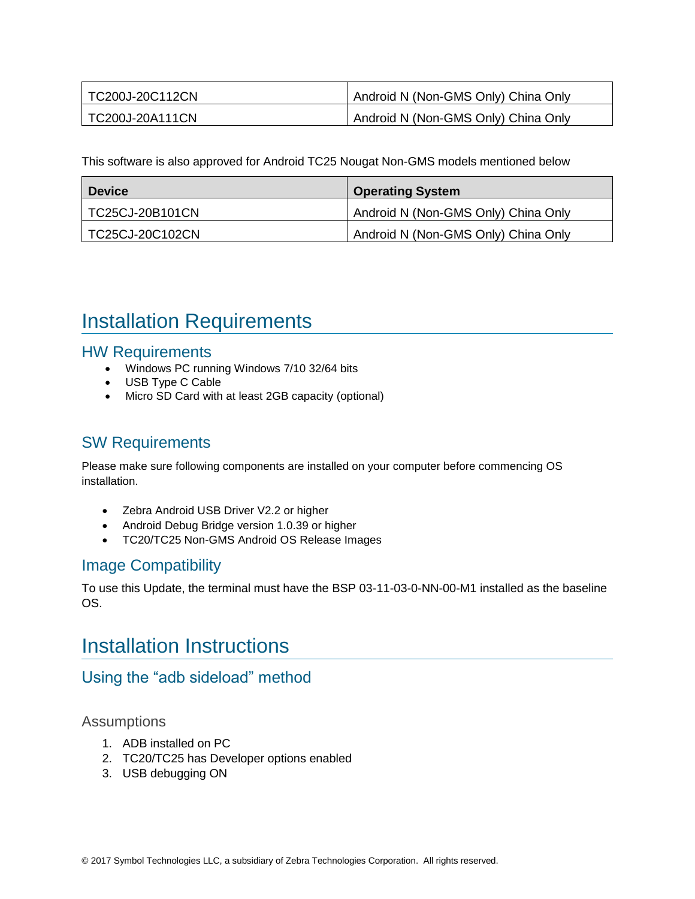| TC200J-20C112CN | Android N (Non-GMS Only) China Only |
|-----------------|-------------------------------------|
| TC200J-20A111CN | Android N (Non-GMS Only) China Only |

This software is also approved for Android TC25 Nougat Non-GMS models mentioned below

| <b>Device</b>   | <b>Operating System</b>             |
|-----------------|-------------------------------------|
| TC25CJ-20B101CN | Android N (Non-GMS Only) China Only |
| TC25CJ-20C102CN | Android N (Non-GMS Only) China Only |

## <span id="page-1-0"></span>Installation Requirements

#### HW Requirements

- Windows PC running Windows 7/10 32/64 bits
- USB Type C Cable
- Micro SD Card with at least 2GB capacity (optional)

### SW Requirements

Please make sure following components are installed on your computer before commencing OS installation.

- Zebra Android USB Driver V2.2 or higher
- Android Debug Bridge version 1.0.39 or higher
- TC20/TC25 Non-GMS Android OS Release Images

### Image Compatibility

<span id="page-1-1"></span>To use this Update, the terminal must have the BSP 03-11-03-0-NN-00-M1 installed as the baseline OS.

### Installation Instructions

### Using the "adb sideload" method

#### Assumptions

- 1. ADB installed on PC
- 2. TC20/TC25 has Developer options enabled
- 3. USB debugging ON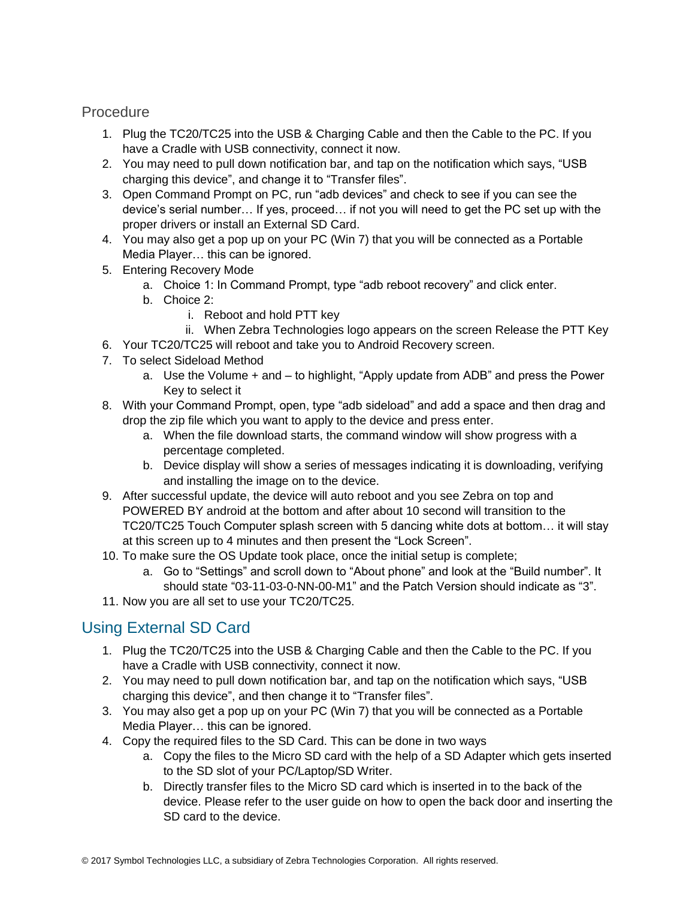### **Procedure**

- 1. Plug the TC20/TC25 into the USB & Charging Cable and then the Cable to the PC. If you have a Cradle with USB connectivity, connect it now.
- 2. You may need to pull down notification bar, and tap on the notification which says, "USB charging this device", and change it to "Transfer files".
- 3. Open Command Prompt on PC, run "adb devices" and check to see if you can see the device's serial number… If yes, proceed… if not you will need to get the PC set up with the proper drivers or install an External SD Card.
- 4. You may also get a pop up on your PC (Win 7) that you will be connected as a Portable Media Player… this can be ignored.
- 5. Entering Recovery Mode
	- a. Choice 1: In Command Prompt, type "adb reboot recovery" and click enter.
	- b. Choice 2:
		- i. Reboot and hold PTT key
		- ii. When Zebra Technologies logo appears on the screen Release the PTT Key
- 6. Your TC20/TC25 will reboot and take you to Android Recovery screen.
- 7. To select Sideload Method
	- a. Use the Volume + and to highlight, "Apply update from ADB" and press the Power Key to select it
- 8. With your Command Prompt, open, type "adb sideload" and add a space and then drag and drop the zip file which you want to apply to the device and press enter.
	- a. When the file download starts, the command window will show progress with a percentage completed.
	- b. Device display will show a series of messages indicating it is downloading, verifying and installing the image on to the device.
- 9. After successful update, the device will auto reboot and you see Zebra on top and POWERED BY android at the bottom and after about 10 second will transition to the TC20/TC25 Touch Computer splash screen with 5 dancing white dots at bottom… it will stay at this screen up to 4 minutes and then present the "Lock Screen".
- 10. To make sure the OS Update took place, once the initial setup is complete;
	- a. Go to "Settings" and scroll down to "About phone" and look at the "Build number". It should state "03-11-03-0-NN-00-M1" and the Patch Version should indicate as "3".
- 11. Now you are all set to use your TC20/TC25.

### Using External SD Card

- 1. Plug the TC20/TC25 into the USB & Charging Cable and then the Cable to the PC. If you have a Cradle with USB connectivity, connect it now.
- 2. You may need to pull down notification bar, and tap on the notification which says, "USB charging this device", and then change it to "Transfer files".
- 3. You may also get a pop up on your PC (Win 7) that you will be connected as a Portable Media Player… this can be ignored.
- 4. Copy the required files to the SD Card. This can be done in two ways
	- a. Copy the files to the Micro SD card with the help of a SD Adapter which gets inserted to the SD slot of your PC/Laptop/SD Writer.
	- b. Directly transfer files to the Micro SD card which is inserted in to the back of the device. Please refer to the user guide on how to open the back door and inserting the SD card to the device.